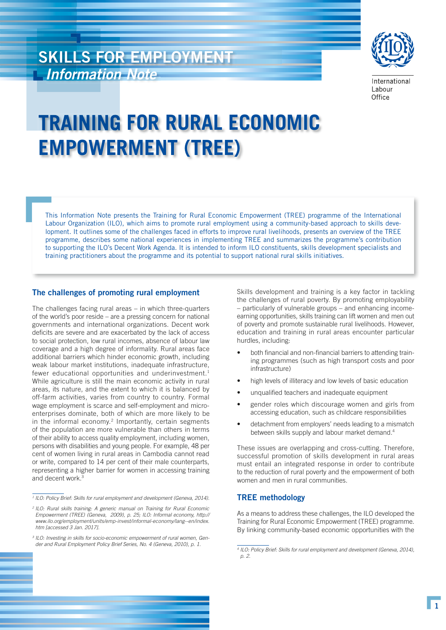# SKILLS FOR EMPLOYMENT *Information Note*



International Labour Office

# **TRAINING FOR RURAL ECONOMIC EMPOWERMENT (TREE)**

This Information Note presents the Training for Rural Economic Empowerment (TREE) programme of the International Labour Organization (ILO), which aims to promote rural employment using a community-based approach to skills development. It outlines some of the challenges faced in efforts to improve rural livelihoods, presents an overview of the TREE programme, describes some national experiences in implementing TREE and summarizes the programme's contribution to supporting the ILO's Decent Work Agenda. It is intended to inform ILO constituents, skills development specialists and training practitioners about the programme and its potential to support national rural skills initiatives.

# The challenges of promoting rural employment

The challenges facing rural areas – in which three-quarters of the world's poor reside – are a pressing concern for national governments and international organizations. Decent work deficits are severe and are exacerbated by the lack of access to social protection, low rural incomes, absence of labour law coverage and a high degree of informality. Rural areas face additional barriers which hinder economic growth, including weak labour market institutions, inadequate infrastructure, fewer educational opportunities and underinvestment.<sup>1</sup> While agriculture is still the main economic activity in rural areas, its nature, and the extent to which it is balanced by off-farm activities, varies from country to country. Formal wage employment is scarce and self-employment and microenterprises dominate, both of which are more likely to be in the informal economy.<sup>2</sup> Importantly, certain segments of the population are more vulnerable than others in terms of their ability to access quality employment, including women, persons with disabilities and young people. For example, 48 per cent of women living in rural areas in Cambodia cannot read or write, compared to 14 per cent of their male counterparts, representing a higher barrier for women in accessing training and decent work.<sup>3</sup>

Skills development and training is a key factor in tackling the challenges of rural poverty. By promoting employability – particularly of vulnerable groups – and enhancing incomeearning opportunities, skills training can lift women and men out of poverty and promote sustainable rural livelihoods. However, education and training in rural areas encounter particular hurdles, including:

- both financial and non-financial barriers to attending training programmes (such as high transport costs and poor infrastructure)
- high levels of illiteracy and low levels of basic education
- unqualified teachers and inadequate equipment
- gender roles which discourage women and girls from accessing education, such as childcare responsibilities
- detachment from employers' needs leading to a mismatch between skills supply and labour market demand.4

These issues are overlapping and cross-cutting. Therefore, successful promotion of skills development in rural areas must entail an integrated response in order to contribute to the reduction of rural poverty and the empowerment of both women and men in rural communities.

### TREE methodology

As a means to address these challenges, the ILO developed the Training for Rural Economic Empowerment (TREE) programme. By linking community-based economic opportunities with the

<sup>&</sup>lt;sup>1</sup> ILO: Policy Brief: Skills for rural employment and development (Geneva, 2014).

<sup>&</sup>lt;sup>2</sup> ILO: Rural skills training: A generic manual on Training for Rural Economic *Empowerment (TREE) (Geneva, 2009), p. 25; ILO: Informal economy, http:// www.ilo.org/employment/units/emp-invest/informal-economy/lang--en/index. htm [accessed 3 Jan. 2017].*

<sup>&</sup>lt;sup>3</sup> ILO: Investing in skills for socio-economic empowerment of rural women, Gen*der and Rural Employment Policy Brief Series, No. 4 (Geneva, 2010), p. 1.*

*<sup>4</sup> ILO: Policy Brief: Skills for rural employment and development (Geneva, 2014), p. 2.*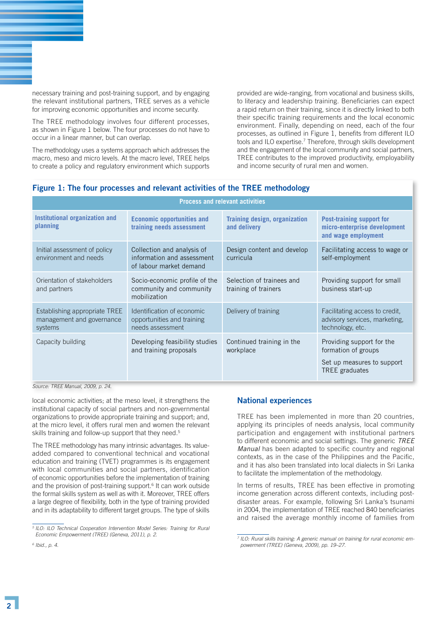necessary training and post-training support, and by engaging the relevant institutional partners, TREE serves as a vehicle for improving economic opportunities and income security.

The TREE methodology involves four different processes, as shown in Figure 1 below. The four processes do not have to occur in a linear manner, but can overlap.

The methodology uses a systems approach which addresses the macro, meso and micro levels. At the macro level, TREE helps to create a policy and regulatory environment which supports

provided are wide-ranging, from vocational and business skills, to literacy and leadership training. Beneficiaries can expect a rapid return on their training, since it is directly linked to both their specific training requirements and the local economic environment. Finally, depending on need, each of the four processes, as outlined in Figure 1, benefits from different ILO tools and ILO expertise.<sup>7</sup> Therefore, through skills development and the engagement of the local community and social partners, TREE contributes to the improved productivity, employability and income security of rural men and women.

# Figure 1: The four processes and relevant activities of the TREE methodology

| <b>Process and relevant activities</b>                                |                                                                                     |                                                      |                                                                                                  |
|-----------------------------------------------------------------------|-------------------------------------------------------------------------------------|------------------------------------------------------|--------------------------------------------------------------------------------------------------|
| Institutional organization and<br>planning                            | <b>Economic opportunities and</b><br>training needs assessment                      | <b>Training design, organization</b><br>and delivery | Post-training support for<br>micro-enterprise development<br>and wage employment                 |
| Initial assessment of policy<br>environment and needs                 | Collection and analysis of<br>information and assessment<br>of labour market demand | Design content and develop<br>curricula              | Facilitating access to wage or<br>self-employment                                                |
| Orientation of stakeholders<br>and partners                           | Socio-economic profile of the<br>community and community<br>mobilization            | Selection of trainees and<br>training of trainers    | Providing support for small<br>business start-up                                                 |
| Establishing appropriate TREE<br>management and governance<br>systems | Identification of economic<br>opportunities and training<br>needs assessment        | Delivery of training                                 | Facilitating access to credit,<br>advisory services, marketing,<br>technology, etc.              |
| Capacity building                                                     | Developing feasibility studies<br>and training proposals                            | Continued training in the<br>workplace               | Providing support for the<br>formation of groups<br>Set up measures to support<br>TREE graduates |

*Source: TREE Manual, 2009, p. 24.*

local economic activities; at the meso level, it strengthens the institutional capacity of social partners and non-governmental organizations to provide appropriate training and support; and, at the micro level, it offers rural men and women the relevant skills training and follow-up support that they need.<sup>5</sup>

The TREE methodology has many intrinsic advantages. Its valueadded compared to conventional technical and vocational education and training (TVET) programmes is its engagement with local communities and social partners, identification of economic opportunities before the implementation of training and the provision of post-training support.<sup>6</sup> It can work outside the formal skills system as well as with it. Moreover, TREE offers a large degree of flexibility, both in the type of training provided and in its adaptability to different target groups. The type of skills

# National experiences

TREE has been implemented in more than 20 countries, applying its principles of needs analysis, local community participation and engagement with institutional partners to different economic and social settings. The generic *TREE Manual* has been adapted to specific country and regional contexts, as in the case of the Philippines and the Pacific, and it has also been translated into local dialects in Sri Lanka to facilitate the implementation of the methodology.

In terms of results, TREE has been effective in promoting income generation across different contexts, including postdisaster areas. For example, following Sri Lanka's tsunami in 2004, the implementation of TREE reached 840 beneficiaries and raised the average monthly income of families from

<sup>&</sup>lt;sup>5</sup> ILO: ILO Technical Cooperation Intervention Model Series: Training for Rural *Economic Empowerment (TREE) (Geneva, 2011), p. 2.*

*<sup>6</sup> Ibid., p. 4.*

<sup>&</sup>lt;sup>7</sup> ILO: Rural skills training: A generic manual on training for rural economic em*powerment (TREE) (Geneva, 2009), pp. 19–27.*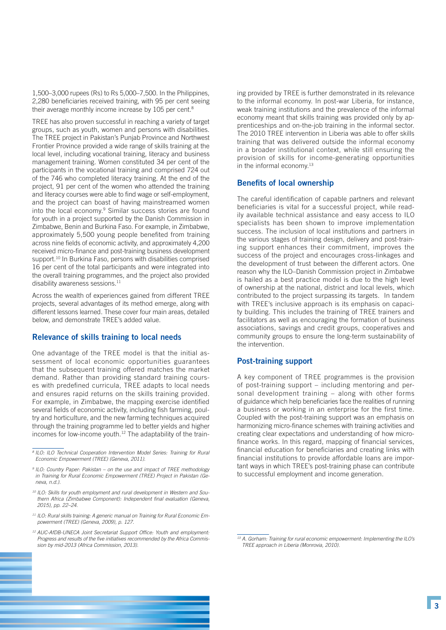1,500–3,000 rupees (Rs) to Rs 5,000–7,500. In the Philippines, 2,280 beneficiaries received training, with 95 per cent seeing their average monthly income increase by 105 per cent.<sup>8</sup>

TREE has also proven successful in reaching a variety of target groups, such as youth, women and persons with disabilities. The TREE project in Pakistan's Punjab Province and Northwest Frontier Province provided a wide range of skills training at the local level, including vocational training, literacy and business management training. Women constituted 34 per cent of the participants in the vocational training and comprised 724 out of the 746 who completed literacy training. At the end of the project, 91 per cent of the women who attended the training and literacy courses were able to find wage or self-employment, and the project can boast of having mainstreamed women into the local economy.<sup>9</sup> Similar success stories are found for youth in a project supported by the Danish Commission in Zimbabwe, Benin and Burkina Faso. For example, in Zimbabwe, approximately 5,500 young people benefited from training across nine fields of economic activity, and approximately 4,200 received micro-finance and post-training business development support.<sup>10</sup> In Burkina Faso, persons with disabilities comprised 16 per cent of the total participants and were integrated into the overall training programmes, and the project also provided disability awareness sessions. $11$ 

Across the wealth of experiences gained from different TREE projects, several advantages of its method emerge, along with different lessons learned. These cover four main areas, detailed below, and demonstrate TREE's added value.

#### Relevance of skills training to local needs

One advantage of the TREE model is that the initial assessment of local economic opportunities guarantees that the subsequent training offered matches the market demand. Rather than providing standard training courses with predefined curricula, TREE adapts to local needs and ensures rapid returns on the skills training provided. For example, in Zimbabwe, the mapping exercise identified several fields of economic activity, including fish farming, poultry and horticulture, and the new farming techniques acquired through the training programme led to better yields and higher incomes for low-income youth.<sup>12</sup> The adaptability of the train-

- *<sup>11</sup> ILO: Rural skills training: A generic manual on Training for Rural Economic Empowerment (TREE) (Geneva, 2009), p. 127.*
- *<sup>12</sup> AUC-AfDB-UNECA Joint Secretariat Support Office: Youth and employment: Progress and results of the five initiatives recommended by the Africa Commission by mid-2013 (Africa Commission, 2013).*

ing provided by TREE is further demonstrated in its relevance to the informal economy. In post-war Liberia, for instance, weak training institutions and the prevalence of the informal economy meant that skills training was provided only by apprenticeships and on-the-job training in the informal sector. The 2010 TREE intervention in Liberia was able to offer skills training that was delivered outside the informal economy in a broader institutional context, while still ensuring the provision of skills for income-generating opportunities in the informal economy.<sup>13</sup>

#### Benefits of local ownership

The careful identification of capable partners and relevant beneficiaries is vital for a successful project, while readily available technical assistance and easy access to ILO specialists has been shown to improve implementation success. The inclusion of local institutions and partners in the various stages of training design, delivery and post-training support enhances their commitment, improves the success of the project and encourages cross-linkages and the development of trust between the different actors. One reason why the ILO–Danish Commission project in Zimbabwe is hailed as a best practice model is due to the high level of ownership at the national, district and local levels, which contributed to the project surpassing its targets. In tandem with TREE's inclusive approach is its emphasis on capacity building. This includes the training of TREE trainers and facilitators as well as encouraging the formation of business associations, savings and credit groups, cooperatives and community groups to ensure the long-term sustainability of the intervention.

#### Post-training support

A key component of TREE programmes is the provision of post-training support – including mentoring and personal development training – along with other forms of guidance which help beneficiaries face the realities of running a business or working in an enterprise for the first time. Coupled with the post-training support was an emphasis on harmonizing micro-finance schemes with training activities and creating clear expectations and understanding of how microfinance works. In this regard, mapping of financial services, financial education for beneficiaries and creating links with financial institutions to provide affordable loans are important ways in which TREE's post-training phase can contribute to successful employment and income generation.

*<sup>8</sup> ILO: ILO Technical Cooperation Intervention Model Series: Training for Rural Economic Empowerment (TREE) (Geneva, 2011).*

*<sup>9</sup> ILO: Country Paper: Pakistan – on the use and impact of TREE methodology in Training for Rural Economic Empowerment (TREE) Project in Pakistan (Geneva, n.d.).*

*<sup>10</sup> ILO: Skills for youth employment and rural development in Western and Southern Africa (Zimbabwe Component): Independent final evaluation (Geneva, 2015), pp. 22–24.*

*<sup>13</sup> A. Gorham: Training for rural economic empowerment: Implementing the ILO's TREE approach in Liberia (Monrovia, 2010).*